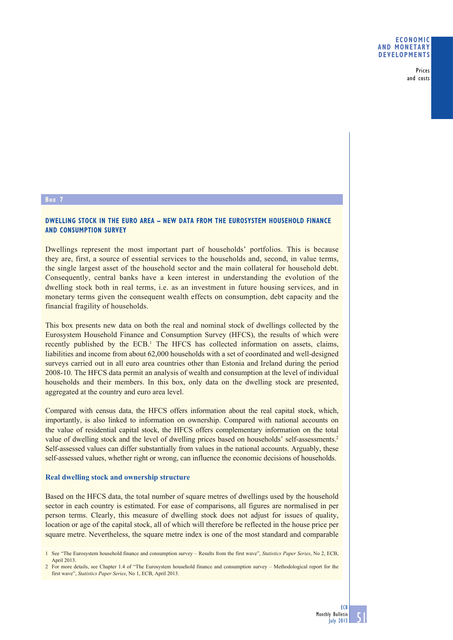Prices and costs

## **Box 7**

# **DWELLING STOCK IN THE EURO AREA – NEW DATA FROM THE EUROSYSTEM HOUSEHOLD FINANCE AND CONSUMPTION SURVEY**

Dwellings represent the most important part of households' portfolios. This is because they are, first, a source of essential services to the households and, second, in value terms, the single largest asset of the household sector and the main collateral for household debt. Consequently, central banks have a keen interest in understanding the evolution of the dwelling stock both in real terms, i.e. as an investment in future housing services, and in monetary terms given the consequent wealth effects on consumption, debt capacity and the financial fragility of households.

This box presents new data on both the real and nominal stock of dwellings collected by the Eurosystem Household Finance and Consumption Survey (HFCS), the results of which were recently published by the ECB.<sup>1</sup> The HFCS has collected information on assets, claims, liabilities and income from about 62,000 households with a set of coordinated and well-designed surveys carried out in all euro area countries other than Estonia and Ireland during the period 2008-10. The HFCS data permit an analysis of wealth and consumption at the level of individual households and their members. In this box, only data on the dwelling stock are presented, aggregated at the country and euro area level.

Compared with census data, the HFCS offers information about the real capital stock, which, importantly, is also linked to information on ownership. Compared with national accounts on the value of residential capital stock, the HFCS offers complementary information on the total value of dwelling stock and the level of dwelling prices based on households' self-assessments.2 Self-assessed values can differ substantially from values in the national accounts. Arguably, these self-assessed values, whether right or wrong, can influence the economic decisions of households.

### **Real dwelling stock and ownership structure**

Based on the HFCS data, the total number of square metres of dwellings used by the household sector in each country is estimated. For ease of comparisons, all figures are normalised in per person terms. Clearly, this measure of dwelling stock does not adjust for issues of quality, location or age of the capital stock, all of which will therefore be reflected in the house price per square metre. Nevertheless, the square metre index is one of the most standard and comparable

51

<sup>1</sup> See "The Eurosystem household finance and consumption survey – Results from the first wave", *Statistics Paper Series*, No 2, ECB, April 2013.

<sup>2</sup> For more details, see Chapter 1.4 of "The Eurosystem household finance and consumption survey – Methodological report for the first wave", *Statistics Paper Series*, No 1, ECB, April 2013.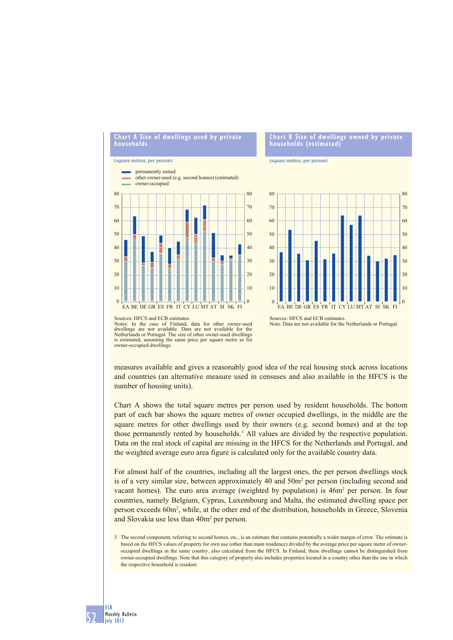

#### (square metres, per person)

52

ECB Monthly Bulletin July 2013



### **Chart B Size of dwellings owned by private households (estimated)**

#### (square metres, per person)



Note: Data are not available for the Netherlands or Portugal.

measures available and gives a reasonably good idea of the real housing stock across locations and countries (an alternative measure used in censuses and also available in the HFCS is the number of housing units).

Chart A shows the total square metres per person used by resident households. The bottom part of each bar shows the square metres of owner occupied dwellings, in the middle are the square metres for other dwellings used by their owners (e.g. second homes) and at the top those permanently rented by households.<sup>3</sup> All values are divided by the respective population. Data on the real stock of capital are missing in the HFCS for the Netherlands and Portugal, and the weighted average euro area figure is calculated only for the available country data.

For almost half of the countries, including all the largest ones, the per person dwellings stock is of a very similar size, between approximately 40 and 50m<sup>2</sup> per person (including second and vacant homes). The euro area average (weighted by population) is  $46m<sup>2</sup>$  per person. In four countries, namely Belgium, Cyprus, Luxembourg and Malta, the estimated dwelling space per person exceeds 60m2 , while, at the other end of the distribution, households in Greece, Slovenia and Slovakia use less than 40m<sup>2</sup> per person.

3 The second component, referring to second homes, etc., is an estimate that contains potentially a wider margin of error. The estimate is based on the HFCS values of property for own use (other than main residence) divided by the average price per square metre of owneroccupied dwellings in the same country, also calculated from the HFCS. In Finland, these dwellings cannot be distinguished from owner-occupied dwellings. Note that this category of property also includes properties located in a country other than the one in which the respective household is resident.

Sources: HFCS and ECB estimates. Notes: In the case of Finland, data for other owner-used dwellings are not available. Data are not available for the Netherlands or Portugal. The size of other owner-used dwellings is estimated, assuming the same price per square metre as for owner-occupied dwellings.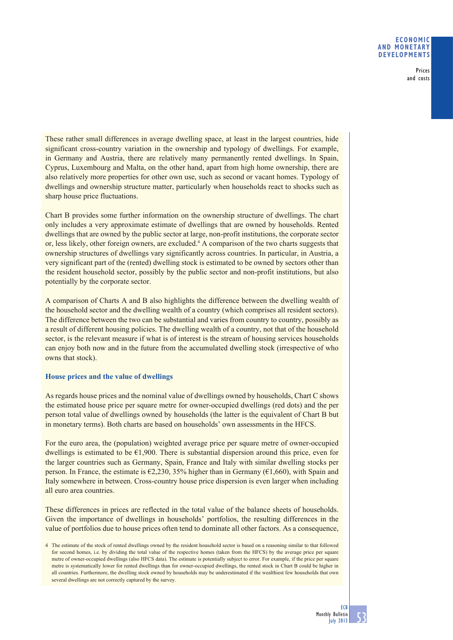### **ECONOMIC AND MONETARY DEVELOPMENTS**

Prices and costs

These rather small differences in average dwelling space, at least in the largest countries, hide significant cross-country variation in the ownership and typology of dwellings. For example, in Germany and Austria, there are relatively many permanently rented dwellings. In Spain, Cyprus, Luxembourg and Malta, on the other hand, apart from high home ownership, there are also relatively more properties for other own use, such as second or vacant homes. Typology of dwellings and ownership structure matter, particularly when households react to shocks such as sharp house price fluctuations.

Chart B provides some further information on the ownership structure of dwellings. The chart only includes a very approximate estimate of dwellings that are owned by households. Rented dwellings that are owned by the public sector at large, non-profit institutions, the corporate sector or, less likely, other foreign owners, are excluded.<sup>4</sup> A comparison of the two charts suggests that ownership structures of dwellings vary significantly across countries. In particular, in Austria, a very significant part of the (rented) dwelling stock is estimated to be owned by sectors other than the resident household sector, possibly by the public sector and non-profit institutions, but also potentially by the corporate sector.

A comparison of Charts A and B also highlights the difference between the dwelling wealth of the household sector and the dwelling wealth of a country (which comprises all resident sectors). The difference between the two can be substantial and varies from country to country, possibly as a result of different housing policies. The dwelling wealth of a country, not that of the household sector, is the relevant measure if what is of interest is the stream of housing services households can enjoy both now and in the future from the accumulated dwelling stock (irrespective of who owns that stock).

# **House prices and the value of dwellings**

As regards house prices and the nominal value of dwellings owned by households, Chart C shows the estimated house price per square metre for owner-occupied dwellings (red dots) and the per person total value of dwellings owned by households (the latter is the equivalent of Chart B but in monetary terms). Both charts are based on households' own assessments in the HFCS.

For the euro area, the (population) weighted average price per square metre of owner-occupied dwellings is estimated to be €1,900. There is substantial dispersion around this price, even for the larger countries such as Germany, Spain, France and Italy with similar dwelling stocks per person. In France, the estimate is  $\epsilon$ 2,230, 35% higher than in Germany ( $\epsilon$ 1,660), with Spain and Italy somewhere in between. Cross-country house price dispersion is even larger when including all euro area countries.

These differences in prices are reflected in the total value of the balance sheets of households. Given the importance of dwellings in households' portfolios, the resulting differences in the value of portfolios due to house prices often tend to dominate all other factors. As a consequence,

<sup>4</sup> The estimate of the stock of rented dwellings owned by the resident household sector is based on a reasoning similar to that followed for second homes, i.e. by dividing the total value of the respective homes (taken from the HFCS) by the average price per square metre of owner-occupied dwellings (also HFCS data). The estimate is potentially subject to error. For example, if the price per square metre is systematically lower for rented dwellings than for owner-occupied dwellings, the rented stock in Chart B could be higher in all countries. Furthermore, the dwelling stock owned by households may be underestimated if the wealthiest few households that own several dwellings are not correctly captured by the survey.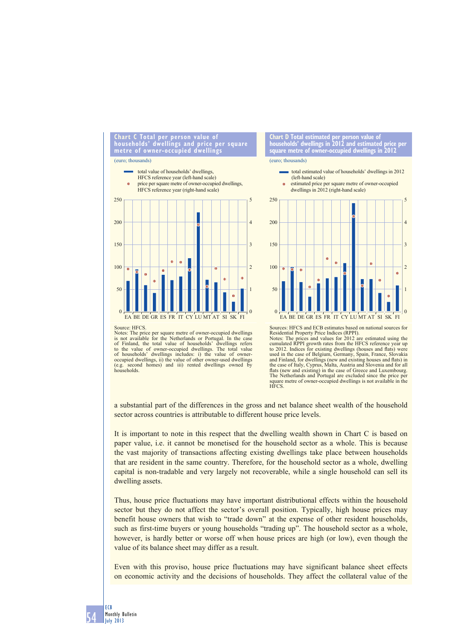



(euro; thousands)





Sources: HFCS and ECB estimates based on national sources for Residential Property Price Indices (RPPI). Notes: The prices and values for 2012 are estimated using the cumulated RPPI growth rates from the HFCS reference year up to 2012. Indices for existing dwellings (houses and flats) were<br>used in the case of Belgium, Germany, Spain, France, Slovakia<br>and Finland, for dwellings (new and existing houses and flats) in<br>the case of Italy, Cyprus, Mal flats (new and existing) in the case of Greece and Luxembourg.<br>The Netherlands and Portugal are excluded since the price per square metre of owner-occupied dwellings is not available in the HFCS.

EA BE DE GR ES FR IT CY LU MT AT SI SK FI

1

 $\mathbf{0}$ 

a substantial part of the differences in the gross and net balance sheet wealth of the household sector across countries is attributable to different house price levels.

50

 $\boldsymbol{0}$ 

It is important to note in this respect that the dwelling wealth shown in Chart C is based on paper value, i.e. it cannot be monetised for the household sector as a whole. This is because the vast majority of transactions affecting existing dwellings take place between households that are resident in the same country. Therefore, for the household sector as a whole, dwelling capital is non-tradable and very largely not recoverable, while a single household can sell its dwelling assets.

Thus, house price fluctuations may have important distributional effects within the household sector but they do not affect the sector's overall position. Typically, high house prices may benefit house owners that wish to "trade down" at the expense of other resident households, such as first-time buyers or young households "trading up". The household sector as a whole, however, is hardly better or worse off when house prices are high (or low), even though the value of its balance sheet may differ as a result.

Even with this proviso, house price fluctuations may have significant balance sheet effects on economic activity and the decisions of households. They affect the collateral value of the